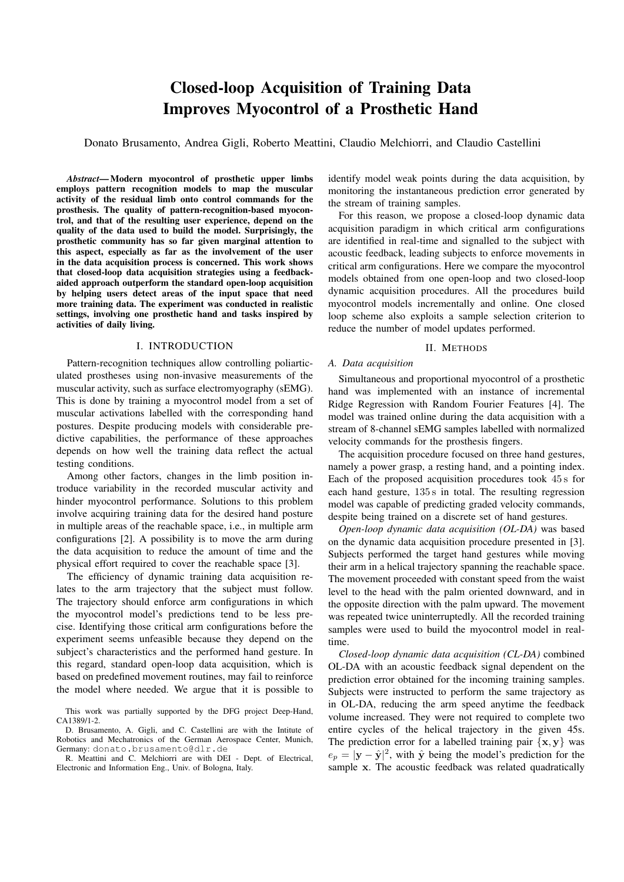# Closed-loop Acquisition of Training Data Improves Myocontrol of a Prosthetic Hand

Donato Brusamento, Andrea Gigli, Roberto Meattini, Claudio Melchiorri, and Claudio Castellini

*Abstract*— Modern myocontrol of prosthetic upper limbs employs pattern recognition models to map the muscular activity of the residual limb onto control commands for the prosthesis. The quality of pattern-recognition-based myocontrol, and that of the resulting user experience, depend on the quality of the data used to build the model. Surprisingly, the prosthetic community has so far given marginal attention to this aspect, especially as far as the involvement of the user in the data acquisition process is concerned. This work shows that closed-loop data acquisition strategies using a feedbackaided approach outperform the standard open-loop acquisition by helping users detect areas of the input space that need more training data. The experiment was conducted in realistic settings, involving one prosthetic hand and tasks inspired by activities of daily living.

# I. INTRODUCTION

Pattern-recognition techniques allow controlling poliarticulated prostheses using non-invasive measurements of the muscular activity, such as surface electromyography (sEMG). This is done by training a myocontrol model from a set of muscular activations labelled with the corresponding hand postures. Despite producing models with considerable predictive capabilities, the performance of these approaches depends on how well the training data reflect the actual testing conditions.

Among other factors, changes in the limb position introduce variability in the recorded muscular activity and hinder myocontrol performance. Solutions to this problem involve acquiring training data for the desired hand posture in multiple areas of the reachable space, i.e., in multiple arm configurations [2]. A possibility is to move the arm during the data acquisition to reduce the amount of time and the physical effort required to cover the reachable space [3].

The efficiency of dynamic training data acquisition relates to the arm trajectory that the subject must follow. The trajectory should enforce arm configurations in which the myocontrol model's predictions tend to be less precise. Identifying those critical arm configurations before the experiment seems unfeasible because they depend on the subject's characteristics and the performed hand gesture. In this regard, standard open-loop data acquisition, which is based on predefined movement routines, may fail to reinforce the model where needed. We argue that it is possible to

identify model weak points during the data acquisition, by monitoring the instantaneous prediction error generated by the stream of training samples.

For this reason, we propose a closed-loop dynamic data acquisition paradigm in which critical arm configurations are identified in real-time and signalled to the subject with acoustic feedback, leading subjects to enforce movements in critical arm configurations. Here we compare the myocontrol models obtained from one open-loop and two closed-loop dynamic acquisition procedures. All the procedures build myocontrol models incrementally and online. One closed loop scheme also exploits a sample selection criterion to reduce the number of model updates performed.

# II. METHODS

#### *A. Data acquisition*

Simultaneous and proportional myocontrol of a prosthetic hand was implemented with an instance of incremental Ridge Regression with Random Fourier Features [4]. The model was trained online during the data acquisition with a stream of 8-channel sEMG samples labelled with normalized velocity commands for the prosthesis fingers.

The acquisition procedure focused on three hand gestures, namely a power grasp, a resting hand, and a pointing index. Each of the proposed acquisition procedures took 45s for each hand gesture,  $135 s$  in total. The resulting regression model was capable of predicting graded velocity commands, despite being trained on a discrete set of hand gestures.

*Open-loop dynamic data acquisition (OL-DA)* was based on the dynamic data acquisition procedure presented in [3]. Subjects performed the target hand gestures while moving their arm in a helical trajectory spanning the reachable space. The movement proceeded with constant speed from the waist level to the head with the palm oriented downward, and in the opposite direction with the palm upward. The movement was repeated twice uninterruptedly. All the recorded training samples were used to build the myocontrol model in realtime.

*Closed-loop dynamic data acquisition (CL-DA)* combined OL-DA with an acoustic feedback signal dependent on the prediction error obtained for the incoming training samples. Subjects were instructed to perform the same trajectory as in OL-DA, reducing the arm speed anytime the feedback volume increased. They were not required to complete two entire cycles of the helical trajectory in the given 45s. The prediction error for a labelled training pair  $\{x, y\}$  was  $e_p = |\mathbf{y} - \hat{\mathbf{y}}|^2$ , with  $\hat{\mathbf{y}}$  being the model's prediction for the sample x. The acoustic feedback was related quadratically

This work was partially supported by the DFG project Deep-Hand, CA1389/1-2.

D. Brusamento, A. Gigli, and C. Castellini are with the Intitute of Robotics and Mechatronics of the German Aerospace Center, Munich, Germany: donato.brusamento@dlr.de

R. Meattini and C. Melchiorri are with DEI - Dept. of Electrical, Electronic and Information Eng., Univ. of Bologna, Italy.